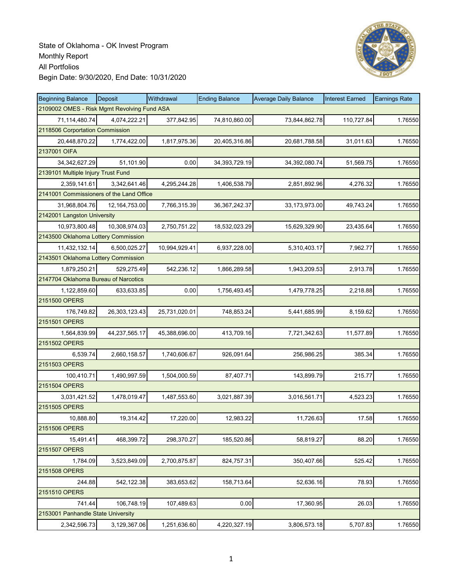

| <b>Beginning Balance</b>                    | Deposit       | Withdrawal    | <b>Ending Balance</b> | <b>Average Daily Balance</b> | <b>Interest Earned</b> | <b>Earnings Rate</b> |
|---------------------------------------------|---------------|---------------|-----------------------|------------------------------|------------------------|----------------------|
| 2109002 OMES - Risk Mgmt Revolving Fund ASA |               |               |                       |                              |                        |                      |
| 71,114,480.74                               | 4,074,222.21  | 377,842.95    | 74,810,860.00         | 73,844,862.78                | 110,727.84             | 1.76550              |
| 2118506 Corportation Commission             |               |               |                       |                              |                        |                      |
| 20,448,870.22                               | 1,774,422.00  | 1,817,975.36  | 20,405,316.86         | 20,681,788.58                | 31,011.63              | 1.76550              |
| 2137001 OIFA                                |               |               |                       |                              |                        |                      |
| 34, 342, 627. 29                            | 51,101.90     | 0.00          | 34, 393, 729. 19      | 34,392,080.74                | 51,569.75              | 1.76550              |
| 2139101 Multiple Injury Trust Fund          |               |               |                       |                              |                        |                      |
| 2,359,141.61                                | 3,342,641.46  | 4,295,244.28  | 1,406,538.79          | 2,851,892.96                 | 4,276.32               | 1.76550              |
| 2141001 Commissioners of the Land Office    |               |               |                       |                              |                        |                      |
| 31,968,804.76                               | 12,164,753.00 | 7,766,315.39  | 36, 367, 242. 37      | 33,173,973.00                | 49,743.24              | 1.76550              |
| 2142001 Langston University                 |               |               |                       |                              |                        |                      |
| 10,973,800.48                               | 10,308,974.03 | 2,750,751.22  | 18,532,023.29         | 15,629,329.90                | 23,435.64              | 1.76550              |
| 2143500 Oklahoma Lottery Commission         |               |               |                       |                              |                        |                      |
| 11,432,132.14                               | 6,500,025.27  | 10,994,929.41 | 6,937,228.00          | 5,310,403.17                 | 7,962.77               | 1.76550              |
| 2143501 Oklahoma Lottery Commission         |               |               |                       |                              |                        |                      |
| 1,879,250.21                                | 529,275.49    | 542,236.12    | 1,866,289.58          | 1,943,209.53                 | 2,913.78               | 1.76550              |
| 2147704 Oklahoma Bureau of Narcotics        |               |               |                       |                              |                        |                      |
| 1,122,859.60                                | 633,633.85    | 0.00          | 1,756,493.45          | 1,479,778.25                 | 2,218.88               | 1.76550              |
| 2151500 OPERS                               |               |               |                       |                              |                        |                      |
| 176,749.82                                  | 26,303,123.43 | 25,731,020.01 | 748,853.24            | 5,441,685.99                 | 8,159.62               | 1.76550              |
| 2151501 OPERS                               |               |               |                       |                              |                        |                      |
| 1,564,839.99                                | 44,237,565.17 | 45,388,696.00 | 413,709.16            | 7,721,342.63                 | 11,577.89              | 1.76550              |
| 2151502 OPERS                               |               |               |                       |                              |                        |                      |
| 6,539.74                                    | 2,660,158.57  | 1,740,606.67  | 926,091.64            | 256,986.25                   | 385.34                 | 1.76550              |
| 2151503 OPERS                               |               |               |                       |                              |                        |                      |
| 100,410.71                                  | 1,490,997.59  | 1,504,000.59  | 87,407.71             | 143,899.79                   | 215.77                 | 1.76550              |
| 2151504 OPERS                               |               |               |                       |                              |                        |                      |
| 3,031,421.52                                | 1,478,019.47  | 1,487,553.60  | 3,021,887.39          | 3,016,561.71                 | 4,523.23               | 1.76550              |
| 2151505 OPERS                               |               |               |                       |                              |                        |                      |
| 10,888.80                                   | 19,314.42     | 17,220.00     | 12,983.22             | 11,726.63                    | 17.58                  | 1.76550              |
| 2151506 OPERS                               |               |               |                       |                              |                        |                      |
| 15,491.41                                   | 468,399.72    | 298,370.27    | 185,520.86            | 58,819.27                    | 88.20                  | 1.76550              |
| 2151507 OPERS                               |               |               |                       |                              |                        |                      |
| 1,784.09                                    | 3,523,849.09  | 2,700,875.87  | 824,757.31            | 350,407.66                   | 525.42                 | 1.76550              |
| 2151508 OPERS                               |               |               |                       |                              |                        |                      |
| 244.88                                      | 542,122.38    | 383,653.62    | 158,713.64            | 52,636.16                    | 78.93                  | 1.76550              |
| 2151510 OPERS                               |               |               |                       |                              |                        |                      |
| 741.44                                      | 106,748.19    | 107,489.63    | 0.00                  | 17,360.95                    | 26.03                  | 1.76550              |
| 2153001 Panhandle State University          |               |               |                       |                              |                        |                      |
| 2,342,596.73                                | 3,129,367.06  | 1,251,636.60  | 4,220,327.19          | 3,806,573.18                 | 5,707.83               | 1.76550              |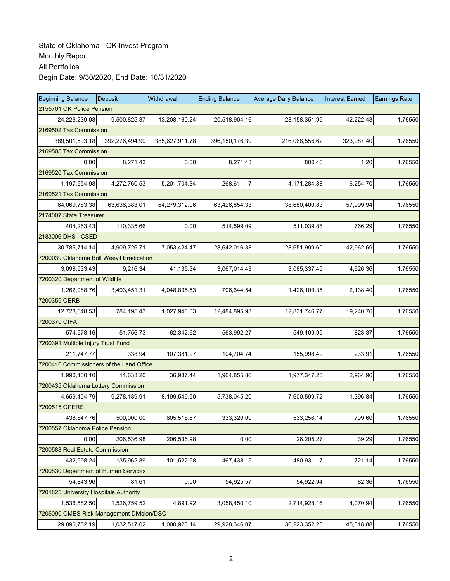| <b>Beginning Balance</b>                  | Deposit                   | Withdrawal     | <b>Ending Balance</b> | <b>Average Daily Balance</b> | <b>Interest Earned</b> | <b>Earnings Rate</b> |  |  |  |  |
|-------------------------------------------|---------------------------|----------------|-----------------------|------------------------------|------------------------|----------------------|--|--|--|--|
|                                           | 2155701 OK Police Pension |                |                       |                              |                        |                      |  |  |  |  |
| 24,226,239.03                             | 9,500,825.37              | 13,208,160.24  | 20,518,904.16         | 28, 158, 351. 95             | 42,222.48              | 1.76550              |  |  |  |  |
| 2169502 Tax Commission                    |                           |                |                       |                              |                        |                      |  |  |  |  |
| 389,501,593.18                            | 392.276.494.99            | 385,627,911.78 | 396, 150, 176.39      | 216,068,556.62               | 323,987.40             | 1.76550              |  |  |  |  |
|                                           | 2169505 Tax Commission    |                |                       |                              |                        |                      |  |  |  |  |
| 0.00                                      | 8,271.43                  | 0.00           | 8,271.43              | 800.46                       | 1.20                   | 1.76550              |  |  |  |  |
| 2169520 Tax Commission                    |                           |                |                       |                              |                        |                      |  |  |  |  |
| 1,197,554.98                              | 4,272,760.53              | 5,201,704.34   | 268,611.17            | 4,171,284.88                 | 6,254.70               | 1.76550              |  |  |  |  |
| 2169521 Tax Commission                    |                           |                |                       |                              |                        |                      |  |  |  |  |
| 64,069,783.38                             | 63,636,383.01             | 64,279,312.06  | 63,426,854.33         | 38,680,400.83                | 57,999.94              | 1.76550              |  |  |  |  |
| 2174007 State Treasurer                   |                           |                |                       |                              |                        |                      |  |  |  |  |
| 404,263.43                                | 110,335.66                | 0.00           | 514,599.09            | 511,039.88                   | 766.29                 | 1.76550              |  |  |  |  |
| 2183006 DHS - CSED                        |                           |                |                       |                              |                        |                      |  |  |  |  |
| 30,785,714.14                             | 4,909,726.71              | 7,053,424.47   | 28,642,016.38         | 28,651,999.60                | 42,962.69              | 1.76550              |  |  |  |  |
| 7200039 Oklahoma Boll Weevil Eradication  |                           |                |                       |                              |                        |                      |  |  |  |  |
| 3,098,933.43                              | 9,216.34                  | 41,135.34      | 3,067,014.43          | 3,085,337.45                 | 4,626.36               | 1.76550              |  |  |  |  |
| 7200320 Department of Wildlife            |                           |                |                       |                              |                        |                      |  |  |  |  |
| 1,262,088.76                              | 3,493,451.31              | 4,048,895.53   | 706,644.54            | 1,426,109.35                 | 2,138.40               | 1.76550              |  |  |  |  |
| 7200359 OERB                              |                           |                |                       |                              |                        |                      |  |  |  |  |
| 12,728,648.53                             | 784,195.43                | 1,027,948.03   | 12,484,895.93         | 12,831,746.77                | 19,240.76              | 1.76550              |  |  |  |  |
| 7200370 OIFA                              |                           |                |                       |                              |                        |                      |  |  |  |  |
| 574,578.16                                | 51,756.73                 | 62,342.62      | 563,992.27            | 549,109.99                   | 823.37                 | 1.76550              |  |  |  |  |
| 7200391 Multiple Injury Trust Fund        |                           |                |                       |                              |                        |                      |  |  |  |  |
| 211,747.77                                | 338.94                    | 107,381.97     | 104,704.74            | 155,998.49                   | 233.91                 | 1.76550              |  |  |  |  |
| 7200410 Commissioners of the Land Office  |                           |                |                       |                              |                        |                      |  |  |  |  |
| 1,990,160.10                              | 11,633.20                 | 36,937.44      | 1,964,855.86          | 1,977,347.23                 | 2,964.96               | 1.76550              |  |  |  |  |
| 7200435 Oklahoma Lottery Commission       |                           |                |                       |                              |                        |                      |  |  |  |  |
| 4,659,404.79                              | 9,278,189.91              | 8,199,549.50   | 5,738,045.20          | 7,600,599.72                 | 11,396.84              | 1.76550              |  |  |  |  |
| 7200515 OPERS                             |                           |                |                       |                              |                        |                      |  |  |  |  |
| 438,847.76                                | 500,000.00                | 605,518.67     | 333,329.09            | 533,256.14                   | 799.60                 | 1.76550              |  |  |  |  |
| 7200557 Oklahoma Police Pension           |                           |                |                       |                              |                        |                      |  |  |  |  |
| 0.00                                      | 206,536.98                | 206,536.98     | 0.00                  | 26,205.27                    | 39.29                  | 1.76550              |  |  |  |  |
| 7200588 Real Estate Commission            |                           |                |                       |                              |                        |                      |  |  |  |  |
| 432,998.24                                | 135,962.89                | 101,522.98     | 467,438.15            | 480,931.17                   | 721.14                 | 1.76550              |  |  |  |  |
| 7200830 Department of Human Services      |                           |                |                       |                              |                        |                      |  |  |  |  |
| 54,843.96                                 | 81.61                     | 0.00           | 54,925.57             | 54,922.94                    | 82.36                  | 1.76550              |  |  |  |  |
| 7201825 University Hospitals Authority    |                           |                |                       |                              |                        |                      |  |  |  |  |
| 1,536,582.50                              | 1,526,759.52              | 4,891.92       | 3,058,450.10          | 2,714,928.16                 | 4,070.94               | 1.76550              |  |  |  |  |
| 7205090 OMES Risk Management Division/DSC |                           |                |                       |                              |                        |                      |  |  |  |  |
| 29,896,752.19                             | 1,032,517.02              | 1,000,923.14   | 29,928,346.07         | 30,223,352.23                | 45,318.88              | 1.76550              |  |  |  |  |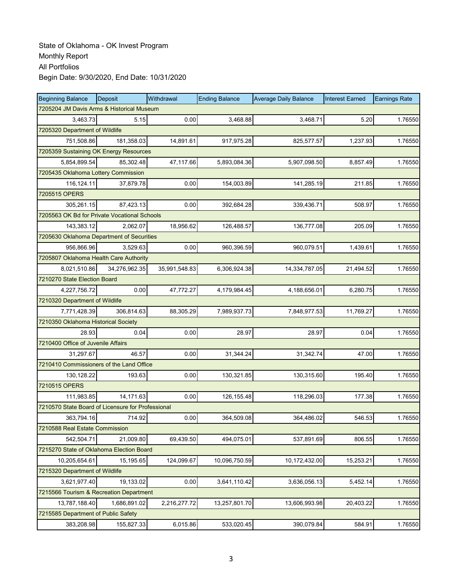| <b>Beginning Balance</b>                          | <b>Deposit</b> | Withdrawal    | <b>Ending Balance</b> | <b>Average Daily Balance</b> | <b>Interest Earned</b> | <b>Earnings Rate</b> |  |  |
|---------------------------------------------------|----------------|---------------|-----------------------|------------------------------|------------------------|----------------------|--|--|
| 7205204 JM Davis Arms & Historical Museum         |                |               |                       |                              |                        |                      |  |  |
| 3,463.73                                          | 5.15           | 0.00          | 3,468.88              | 3,468.71                     | 5.20                   | 1.76550              |  |  |
| 7205320 Department of Wildlife                    |                |               |                       |                              |                        |                      |  |  |
| 751,508.86                                        | 181,358.03     | 14,891.61     | 917,975.28            | 825,577.57                   | 1,237.93               | 1.76550              |  |  |
| 7205359 Sustaining OK Energy Resources            |                |               |                       |                              |                        |                      |  |  |
| 5,854,899.54                                      | 85,302.48      | 47,117.66     | 5,893,084.36          | 5,907,098.50                 | 8,857.49               | 1.76550              |  |  |
| 7205435 Oklahoma Lottery Commission               |                |               |                       |                              |                        |                      |  |  |
| 116,124.11                                        | 37.879.78      | 0.00          | 154,003.89            | 141,285.19                   | 211.85                 | 1.76550              |  |  |
| 7205515 OPERS                                     |                |               |                       |                              |                        |                      |  |  |
| 305,261.15                                        | 87,423.13      | 0.00          | 392,684.28            | 339,436.71                   | 508.97                 | 1.76550              |  |  |
| 7205563 OK Bd for Private Vocational Schools      |                |               |                       |                              |                        |                      |  |  |
| 143,383.12                                        | 2,062.07       | 18,956.62     | 126,488.57            | 136,777.08                   | 205.09                 | 1.76550              |  |  |
| 7205630 Oklahoma Department of Securities         |                |               |                       |                              |                        |                      |  |  |
| 956,866.96                                        | 3,529.63       | 0.00          | 960,396.59            | 960,079.51                   | 1,439.61               | 1.76550              |  |  |
| 7205807 Oklahoma Health Care Authority            |                |               |                       |                              |                        |                      |  |  |
| 8,021,510.86                                      | 34,276,962.35  | 35,991,548.83 | 6,306,924.38          | 14,334,787.05                | 21,494.52              | 1.76550              |  |  |
| 7210270 State Election Board                      |                |               |                       |                              |                        |                      |  |  |
| 4,227,756.72                                      | 0.00           | 47,772.27     | 4,179,984.45          | 4,188,656.01                 | 6,280.75               | 1.76550              |  |  |
| 7210320 Department of Wildlife                    |                |               |                       |                              |                        |                      |  |  |
| 7,771,428.39                                      | 306,814.63     | 88,305.29     | 7,989,937.73          | 7,848,977.53                 | 11,769.27              | 1.76550              |  |  |
| 7210350 Oklahoma Historical Society               |                |               |                       |                              |                        |                      |  |  |
| 28.93                                             | 0.04           | 0.00          | 28.97                 | 28.97                        | 0.04                   | 1.76550              |  |  |
| 7210400 Office of Juvenile Affairs                |                |               |                       |                              |                        |                      |  |  |
| 31,297.67                                         | 46.57          | 0.00          | 31,344.24             | 31,342.74                    | 47.00                  | 1.76550              |  |  |
| 7210410 Commissioners of the Land Office          |                |               |                       |                              |                        |                      |  |  |
| 130,128.22                                        | 193.63         | 0.00          | 130,321.85            | 130,315.60                   | 195.40                 | 1.76550              |  |  |
| 7210515 OPERS                                     |                |               |                       |                              |                        |                      |  |  |
| 111,983.85                                        | 14,171.63      | 0.00          | 126, 155.48           | 118,296.03                   | 177.38                 | 1.76550              |  |  |
| 7210570 State Board of Licensure for Professional |                |               |                       |                              |                        |                      |  |  |
| 363,794.16                                        | 714.92         | 0.00          | 364,509.08            | 364,486.02                   | 546.53                 | 1.76550              |  |  |
| 7210588 Real Estate Commission                    |                |               |                       |                              |                        |                      |  |  |
| 542,504.71                                        | 21,009.80      | 69,439.50     | 494,075.01            | 537,891.69                   | 806.55                 | 1.76550              |  |  |
| 7215270 State of Oklahoma Election Board          |                |               |                       |                              |                        |                      |  |  |
| 10,205,654.61                                     | 15,195.65      | 124,099.67    | 10,096,750.59         | 10,172,432.00                | 15,253.21              | 1.76550              |  |  |
| 7215320 Department of Wildlife                    |                |               |                       |                              |                        |                      |  |  |
| 3,621,977.40                                      | 19,133.02      | 0.00          | 3,641,110.42          | 3,636,056.13                 | 5,452.14               | 1.76550              |  |  |
| 7215566 Tourism & Recreation Department           |                |               |                       |                              |                        |                      |  |  |
| 13,787,188.40                                     | 1,686,891.02   | 2,216,277.72  | 13,257,801.70         | 13,606,993.98                | 20,403.22              | 1.76550              |  |  |
| 7215585 Department of Public Safety               |                |               |                       |                              |                        |                      |  |  |
| 383,208.98                                        | 155,827.33     | 6,015.86      | 533,020.45            | 390,079.84                   | 584.91                 | 1.76550              |  |  |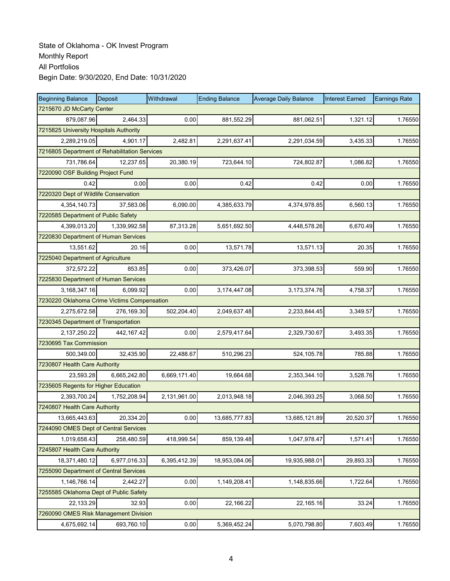| <b>Beginning Balance</b>                      | Deposit      | Withdrawal   | <b>Ending Balance</b> | <b>Average Daily Balance</b> | <b>Interest Earned</b> | <b>Earnings Rate</b> |  |  |
|-----------------------------------------------|--------------|--------------|-----------------------|------------------------------|------------------------|----------------------|--|--|
| 7215670 JD McCarty Center                     |              |              |                       |                              |                        |                      |  |  |
| 879,087.96                                    | 2.464.33     | 0.00         | 881,552.29            | 881,062.51                   | 1,321.12               | 1.76550              |  |  |
| 7215825 University Hospitals Authority        |              |              |                       |                              |                        |                      |  |  |
| 2,289,219.05                                  | 4,901.17     | 2,482.81     | 2,291,637.41          | 2,291,034.59                 | 3,435.33               | 1.76550              |  |  |
| 7216805 Department of Rehabilitation Services |              |              |                       |                              |                        |                      |  |  |
| 731,786.64                                    | 12,237.65    | 20,380.19    | 723,644.10            | 724,802.87                   | 1,086.82               | 1.76550              |  |  |
| 7220090 OSF Building Project Fund             |              |              |                       |                              |                        |                      |  |  |
| 0.42                                          | 0.00         | 0.00         | 0.42                  | 0.42                         | 0.00                   | 1.76550              |  |  |
| 7220320 Dept of Wildlife Conservation         |              |              |                       |                              |                        |                      |  |  |
| 4,354,140.73                                  | 37,583.06    | 6,090.00     | 4,385,633.79          | 4,374,978.85                 | 6,560.13               | 1.76550              |  |  |
| 7220585 Department of Public Safety           |              |              |                       |                              |                        |                      |  |  |
| 4,399,013.20                                  | 1,339,992.58 | 87,313.28    | 5,651,692.50          | 4,448,578.26                 | 6,670.49               | 1.76550              |  |  |
| 7220830 Department of Human Services          |              |              |                       |                              |                        |                      |  |  |
| 13,551.62                                     | 20.16        | 0.00         | 13,571.78             | 13,571.13                    | 20.35                  | 1.76550              |  |  |
| 7225040 Department of Agriculture             |              |              |                       |                              |                        |                      |  |  |
| 372,572.22                                    | 853.85       | 0.00         | 373,426.07            | 373,398.53                   | 559.90                 | 1.76550              |  |  |
| 7225830 Department of Human Services          |              |              |                       |                              |                        |                      |  |  |
| 3,168,347.16                                  | 6.099.92     | 0.00         | 3, 174, 447.08        | 3,173,374.76                 | 4,758.37               | 1.76550              |  |  |
| 7230220 Oklahoma Crime Victims Compensation   |              |              |                       |                              |                        |                      |  |  |
| 2,275,672.58                                  | 276,169.30   | 502,204.40   | 2,049,637.48          | 2,233,844.45                 | 3,349.57               | 1.76550              |  |  |
| 7230345 Department of Transportation          |              |              |                       |                              |                        |                      |  |  |
| 2,137,250.22                                  | 442, 167.42  | 0.00         | 2,579,417.64          | 2,329,730.67                 | 3,493.35               | 1.76550              |  |  |
| 7230695 Tax Commission                        |              |              |                       |                              |                        |                      |  |  |
| 500,349.00                                    | 32,435.90    | 22,488.67    | 510,296.23            | 524,105.78                   | 785.88                 | 1.76550              |  |  |
| 7230807 Health Care Authority                 |              |              |                       |                              |                        |                      |  |  |
| 23,593.28                                     | 6,665,242.80 | 6,669,171.40 | 19,664.68             | 2,353,344.10                 | 3,528.76               | 1.76550              |  |  |
| 7235605 Regents for Higher Education          |              |              |                       |                              |                        |                      |  |  |
| 2,393,700.24                                  | 1,752,208.94 | 2,131,961.00 | 2,013,948.18          | 2,046,393.25                 | 3,068.50               | 1.76550              |  |  |
| 7240807 Health Care Authority                 |              |              |                       |                              |                        |                      |  |  |
| 13,665,443.63                                 | 20,334.20    | 0.00         | 13,685,777.83         | 13,685,121.89                | 20,520.37              | 1.76550              |  |  |
| 7244090 OMES Dept of Central Services         |              |              |                       |                              |                        |                      |  |  |
| 1,019,658.43                                  | 258,480.59   | 418,999.54   | 859,139.48            | 1,047,978.47                 | 1,571.41               | 1.76550              |  |  |
| 7245807 Health Care Authority                 |              |              |                       |                              |                        |                      |  |  |
| 18,371,480.12                                 | 6,977,016.33 | 6,395,412.39 | 18,953,084.06         | 19,935,988.01                | 29,893.33              | 1.76550              |  |  |
| 7255090 Department of Central Services        |              |              |                       |                              |                        |                      |  |  |
| 1,146,766.14                                  | 2,442.27     | 0.00         | 1,149,208.41          | 1,148,835.66                 | 1,722.64               | 1.76550              |  |  |
| 7255585 Oklahoma Dept of Public Safety        |              |              |                       |                              |                        |                      |  |  |
| 22,133.29                                     | 32.93        | 0.00         | 22,166.22             | 22,165.16                    | 33.24                  | 1.76550              |  |  |
| 7260090 OMES Risk Management Division         |              |              |                       |                              |                        |                      |  |  |
| 4,675,692.14                                  | 693,760.10   | 0.00         | 5,369,452.24          | 5,070,798.80                 | 7,603.49               | 1.76550              |  |  |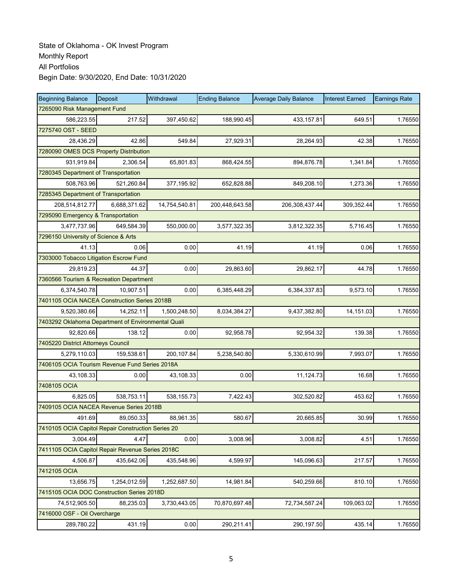| <b>Beginning Balance</b>                           | Deposit      | Withdrawal    | <b>Ending Balance</b> | <b>Average Daily Balance</b> | <b>Interest Earned</b> | <b>Earnings Rate</b> |  |  |
|----------------------------------------------------|--------------|---------------|-----------------------|------------------------------|------------------------|----------------------|--|--|
| 7265090 Risk Management Fund                       |              |               |                       |                              |                        |                      |  |  |
| 586,223.55                                         | 217.52       | 397,450.62    | 188,990.45            | 433,157.81                   | 649.51                 | 1.76550              |  |  |
| 7275740 OST - SEED                                 |              |               |                       |                              |                        |                      |  |  |
| 28,436.29                                          | 42.86        | 549.84        | 27,929.31             | 28,264.93                    | 42.38                  | 1.76550              |  |  |
| 7280090 OMES DCS Property Distribution             |              |               |                       |                              |                        |                      |  |  |
| 931,919.84                                         | 2,306.54     | 65,801.83     | 868,424.55            | 894,876.78                   | 1,341.84               | 1.76550              |  |  |
| 7280345 Department of Transportation               |              |               |                       |                              |                        |                      |  |  |
| 508,763.96                                         | 521.260.84   | 377, 195.92   | 652.828.88            | 849,208.10                   | 1,273.36               | 1.76550              |  |  |
| 7285345 Department of Transportation               |              |               |                       |                              |                        |                      |  |  |
| 208,514,812.77                                     | 6,688,371.62 | 14,754,540.81 | 200,448,643.58        | 206,308,437.44               | 309,352.44             | 1.76550              |  |  |
| 7295090 Emergency & Transportation                 |              |               |                       |                              |                        |                      |  |  |
| 3,477,737.96                                       | 649,584.39   | 550,000.00    | 3,577,322.35          | 3,812,322.35                 | 5,716.45               | 1.76550              |  |  |
| 7296150 University of Science & Arts               |              |               |                       |                              |                        |                      |  |  |
| 41.13                                              | 0.06         | 0.00          | 41.19                 | 41.19                        | 0.06                   | 1.76550              |  |  |
| 7303000 Tobacco Litigation Escrow Fund             |              |               |                       |                              |                        |                      |  |  |
| 29,819.23                                          | 44.37        | 0.00          | 29,863.60             | 29,862.17                    | 44.78                  | 1.76550              |  |  |
| 7360566 Tourism & Recreation Department            |              |               |                       |                              |                        |                      |  |  |
| 6,374,540.78                                       | 10,907.51    | 0.00          | 6,385,448.29          | 6,384,337.83                 | 9,573.10               | 1.76550              |  |  |
| 7401105 OCIA NACEA Construction Series 2018B       |              |               |                       |                              |                        |                      |  |  |
| 9,520,380.66                                       | 14,252.11    | 1,500,248.50  | 8,034,384.27          | 9,437,382.80                 | 14,151.03              | 1.76550              |  |  |
| 7403292 Oklahoma Department of Environmental Quali |              |               |                       |                              |                        |                      |  |  |
| 92,820.66                                          | 138.12       | 0.00          | 92,958.78             | 92,954.32                    | 139.38                 | 1.76550              |  |  |
| 7405220 District Attorneys Council                 |              |               |                       |                              |                        |                      |  |  |
| 5,279,110.03                                       | 159,538.61   | 200, 107.84   | 5,238,540.80          | 5,330,610.99                 | 7,993.07               | 1.76550              |  |  |
| 7406105 OCIA Tourism Revenue Fund Series 2018A     |              |               |                       |                              |                        |                      |  |  |
| 43,108.33                                          | 0.00         | 43,108.33     | 0.00                  | 11,124.73                    | 16.68                  | 1.76550              |  |  |
| 7408105 OCIA                                       |              |               |                       |                              |                        |                      |  |  |
| 6,825.05                                           | 538,753.11   | 538, 155.73   | 7,422.43              | 302,520.82                   | 453.62                 | 1.76550              |  |  |
| 7409105 OCIA NACEA Revenue Series 2018B            |              |               |                       |                              |                        |                      |  |  |
| 491.69                                             | 89,050.33    | 88,961.35     | 580.67                | 20,665.85                    | 30.99                  | 1.76550              |  |  |
| 7410105 OCIA Capitol Repair Construction Series 20 |              |               |                       |                              |                        |                      |  |  |
| 3,004.49                                           | 4.47         | 0.00          | 3,008.96              | 3,008.82                     | 4.51                   | 1.76550              |  |  |
| 7411105 OCIA Capitol Repair Revenue Series 2018C   |              |               |                       |                              |                        |                      |  |  |
| 4,506.87                                           | 435,642.06   | 435,548.96    | 4,599.97              | 145,096.63                   | 217.57                 | 1.76550              |  |  |
| 7412105 OCIA                                       |              |               |                       |                              |                        |                      |  |  |
| 13,656.75                                          | 1,254,012.59 | 1,252,687.50  | 14,981.84             | 540,259.66                   | 810.10                 | 1.76550              |  |  |
| 7415105 OCIA DOC Construction Series 2018D         |              |               |                       |                              |                        |                      |  |  |
| 74,512,905.50                                      | 88,235.03    | 3,730,443.05  | 70,870,697.48         | 72,734,587.24                | 109,063.02             | 1.76550              |  |  |
| 7416000 OSF - Oil Overcharge                       |              |               |                       |                              |                        |                      |  |  |
| 289,780.22                                         | 431.19       | 0.00          | 290,211.41            | 290,197.50                   | 435.14                 | 1.76550              |  |  |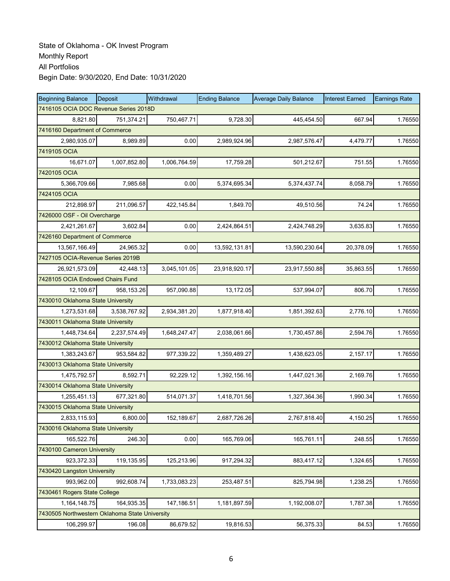| <b>Beginning Balance</b>                       | Deposit      | Withdrawal   | <b>Ending Balance</b> | <b>Average Daily Balance</b> | <b>Interest Earned</b> | <b>Earnings Rate</b> |
|------------------------------------------------|--------------|--------------|-----------------------|------------------------------|------------------------|----------------------|
| 7416105 OCIA DOC Revenue Series 2018D          |              |              |                       |                              |                        |                      |
| 8,821.80                                       | 751,374.21   | 750,467.71   | 9,728.30              | 445,454.50                   | 667.94                 | 1.76550              |
| 7416160 Department of Commerce                 |              |              |                       |                              |                        |                      |
| 2,980,935.07                                   | 8,989.89     | 0.00         | 2,989,924.96          | 2,987,576.47                 | 4,479.77               | 1.76550              |
| 7419105 OCIA                                   |              |              |                       |                              |                        |                      |
| 16,671.07                                      | 1,007,852.80 | 1,006,764.59 | 17,759.28             | 501,212.67                   | 751.55                 | 1.76550              |
| 7420105 OCIA                                   |              |              |                       |                              |                        |                      |
| 5,366,709.66                                   | 7,985.68     | 0.00         | 5,374,695.34          | 5,374,437.74                 | 8,058.79               | 1.76550              |
| 7424105 OCIA                                   |              |              |                       |                              |                        |                      |
| 212,898.97                                     | 211,096.57   | 422, 145.84  | 1,849.70              | 49,510.56                    | 74.24                  | 1.76550              |
| 7426000 OSF - Oil Overcharge                   |              |              |                       |                              |                        |                      |
| 2,421,261.67                                   | 3,602.84     | 0.00         | 2,424,864.51          | 2,424,748.29                 | 3,635.83               | 1.76550              |
| 7426160 Department of Commerce                 |              |              |                       |                              |                        |                      |
| 13,567,166.49                                  | 24,965.32    | 0.00         | 13,592,131.81         | 13,590,230.64                | 20,378.09              | 1.76550              |
| 7427105 OCIA-Revenue Series 2019B              |              |              |                       |                              |                        |                      |
| 26,921,573.09                                  | 42,448.13    | 3,045,101.05 | 23,918,920.17         | 23,917,550.88                | 35,863.55              | 1.76550              |
| 7428105 OCIA Endowed Chairs Fund               |              |              |                       |                              |                        |                      |
| 12,109.67                                      | 958, 153.26  | 957,090.88   | 13,172.05             | 537,994.07                   | 806.70                 | 1.76550              |
| 7430010 Oklahoma State University              |              |              |                       |                              |                        |                      |
| 1,273,531.68                                   | 3,538,767.92 | 2,934,381.20 | 1,877,918.40          | 1,851,392.63                 | 2,776.10               | 1.76550              |
| 7430011 Oklahoma State University              |              |              |                       |                              |                        |                      |
| 1,448,734.64                                   | 2,237,574.49 | 1,648,247.47 | 2,038,061.66          | 1,730,457.86                 | 2,594.76               | 1.76550              |
| 7430012 Oklahoma State University              |              |              |                       |                              |                        |                      |
| 1,383,243.67                                   | 953,584.82   | 977,339.22   | 1,359,489.27          | 1,438,623.05                 | 2,157.17               | 1.76550              |
| 7430013 Oklahoma State University              |              |              |                       |                              |                        |                      |
| 1,475,792.57                                   | 8,592.71     | 92,229.12    | 1,392,156.16          | 1,447,021.36                 | 2,169.76               | 1.76550              |
| 7430014 Oklahoma State University              |              |              |                       |                              |                        |                      |
| 1,255,451.13                                   | 677,321.80   | 514,071.37   | 1,418,701.56          | 1,327,364.36                 | 1,990.34               | 1.76550              |
| 7430015 Oklahoma State University              |              |              |                       |                              |                        |                      |
| 2,833,115.93                                   | 6,800.00     | 152,189.67   | 2,687,726.26          | 2,767,818.40                 | 4,150.25               | 1.76550              |
| 7430016 Oklahoma State University              |              |              |                       |                              |                        |                      |
| 165,522.76                                     | 246.30       | 0.00         | 165,769.06            | 165,761.11                   | 248.55                 | 1.76550              |
| 7430100 Cameron University                     |              |              |                       |                              |                        |                      |
| 923,372.33                                     | 119,135.95   | 125,213.96   | 917,294.32            | 883,417.12                   | 1,324.65               | 1.76550              |
| 7430420 Langston University                    |              |              |                       |                              |                        |                      |
| 993,962.00                                     | 992,608.74   | 1,733,083.23 | 253,487.51            | 825,794.98                   | 1,238.25               | 1.76550              |
| 7430461 Rogers State College                   |              |              |                       |                              |                        |                      |
| 1,164,148.75                                   | 164,935.35   | 147,186.51   | 1,181,897.59          | 1,192,008.07                 | 1,787.38               | 1.76550              |
| 7430505 Northwestern Oklahoma State University |              |              |                       |                              |                        |                      |
| 106,299.97                                     | 196.08       | 86,679.52    | 19,816.53             | 56,375.33                    | 84.53                  | 1.76550              |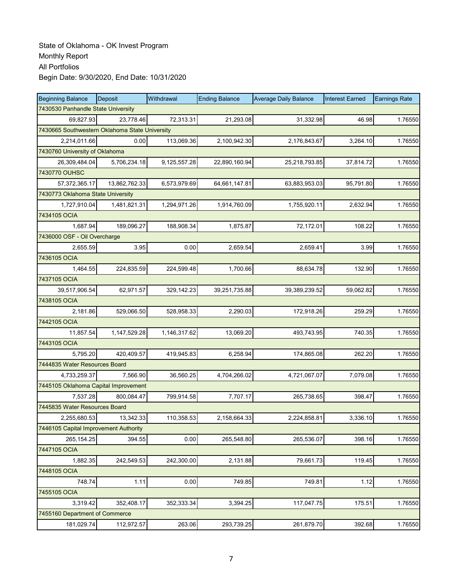| <b>Beginning Balance</b>                       | Deposit                        | Withdrawal   | <b>Ending Balance</b> | <b>Average Daily Balance</b> | <b>Interest Earned</b> | <b>Earnings Rate</b> |  |  |  |  |
|------------------------------------------------|--------------------------------|--------------|-----------------------|------------------------------|------------------------|----------------------|--|--|--|--|
| 7430530 Panhandle State University             |                                |              |                       |                              |                        |                      |  |  |  |  |
| 69.827.93                                      | 23,778.46                      | 72,313.31    | 21,293.08             | 31,332.98                    | 46.98                  | 1.76550              |  |  |  |  |
| 7430665 Southwestern Oklahoma State University |                                |              |                       |                              |                        |                      |  |  |  |  |
| 2,214,011.66                                   | 0.00                           | 113,069.36   | 2,100,942.30          | 2,176,843.67                 | 3,264.10               | 1.76550              |  |  |  |  |
|                                                | 7430760 University of Oklahoma |              |                       |                              |                        |                      |  |  |  |  |
| 26,309,484.04                                  | 5,706,234.18                   | 9,125,557.28 | 22,890,160.94         | 25,218,793.85                | 37,814.72              | 1.76550              |  |  |  |  |
| 7430770 OUHSC                                  |                                |              |                       |                              |                        |                      |  |  |  |  |
| 57, 372, 365.17                                | 13,862,762.33                  | 6,573,979.69 | 64,661,147.81         | 63,883,953.03                | 95.791.80              | 1.76550              |  |  |  |  |
| 7430773 Oklahoma State University              |                                |              |                       |                              |                        |                      |  |  |  |  |
| 1,727,910.04                                   | 1,481,821.31                   | 1,294,971.26 | 1,914,760.09          | 1,755,920.11                 | 2,632.94               | 1.76550              |  |  |  |  |
| 7434105 OCIA                                   |                                |              |                       |                              |                        |                      |  |  |  |  |
| 1,687.94                                       | 189,096.27                     | 188,908.34   | 1,875.87              | 72,172.01                    | 108.22                 | 1.76550              |  |  |  |  |
| 7436000 OSF - Oil Overcharge                   |                                |              |                       |                              |                        |                      |  |  |  |  |
| 2.655.59                                       | 3.95                           | 0.00         | 2,659.54              | 2,659.41                     | 3.99                   | 1.76550              |  |  |  |  |
| 7436105 OCIA                                   |                                |              |                       |                              |                        |                      |  |  |  |  |
| 1,464.55                                       | 224,835.59                     | 224,599.48   | 1,700.66              | 88,634.78                    | 132.90                 | 1.76550              |  |  |  |  |
| 7437105 OCIA                                   |                                |              |                       |                              |                        |                      |  |  |  |  |
| 39.517.906.54                                  | 62,971.57                      | 329,142.23   | 39,251,735.88         | 39,389,239.52                | 59,062.82              | 1.76550              |  |  |  |  |
| 7438105 OCIA                                   |                                |              |                       |                              |                        |                      |  |  |  |  |
| 2,181.86                                       | 529,066.50                     | 528,958.33   | 2,290.03              | 172,918.26                   | 259.29                 | 1.76550              |  |  |  |  |
| 7442105 OCIA                                   |                                |              |                       |                              |                        |                      |  |  |  |  |
| 11,857.54                                      | 1,147,529.28                   | 1,146,317.62 | 13,069.20             | 493,743.95                   | 740.35                 | 1.76550              |  |  |  |  |
| 7443105 OCIA                                   |                                |              |                       |                              |                        |                      |  |  |  |  |
| 5,795.20                                       | 420,409.57                     | 419,945.83   | 6,258.94              | 174,865.08                   | 262.20                 | 1.76550              |  |  |  |  |
| 7444835 Water Resources Board                  |                                |              |                       |                              |                        |                      |  |  |  |  |
| 4,733,259.37                                   | 7,566.90                       | 36,560.25    | 4,704,266.02          | 4,721,067.07                 | 7,079.08               | 1.76550              |  |  |  |  |
| 7445105 Oklahoma Capital Improvement           |                                |              |                       |                              |                        |                      |  |  |  |  |
| 7,537.28                                       | 800,084.47                     | 799,914.58   | 7,707.17              | 265,738.65                   | 398.47                 | 1.76550              |  |  |  |  |
| 7445835 Water Resources Board                  |                                |              |                       |                              |                        |                      |  |  |  |  |
| 2,255,680.53                                   | 13,342.33                      | 110,358.53   | 2,158,664.33          | 2,224,858.81                 | 3,336.10               | 1.76550              |  |  |  |  |
| 7446105 Capital Improvement Authority          |                                |              |                       |                              |                        |                      |  |  |  |  |
| 265, 154.25                                    | 394.55                         | 0.00         | 265,548.80            | 265,536.07                   | 398.16                 | 1.76550              |  |  |  |  |
| 7447105 OCIA                                   |                                |              |                       |                              |                        |                      |  |  |  |  |
| 1,882.35                                       | 242,549.53                     | 242,300.00   | 2,131.88              | 79,661.73                    | 119.45                 | 1.76550              |  |  |  |  |
| 7448105 OCIA                                   |                                |              |                       |                              |                        |                      |  |  |  |  |
| 748.74                                         | 1.11                           | 0.00         | 749.85                | 749.81                       | 1.12                   | 1.76550              |  |  |  |  |
| 7455105 OCIA                                   |                                |              |                       |                              |                        |                      |  |  |  |  |
| 3,319.42                                       | 352,408.17                     | 352,333.34   | 3,394.25              | 117,047.75                   | 175.51                 | 1.76550              |  |  |  |  |
| 7455160 Department of Commerce                 |                                |              |                       |                              |                        |                      |  |  |  |  |
| 181,029.74                                     | 112,972.57                     | 263.06       | 293,739.25            | 261,879.70                   | 392.68                 | 1.76550              |  |  |  |  |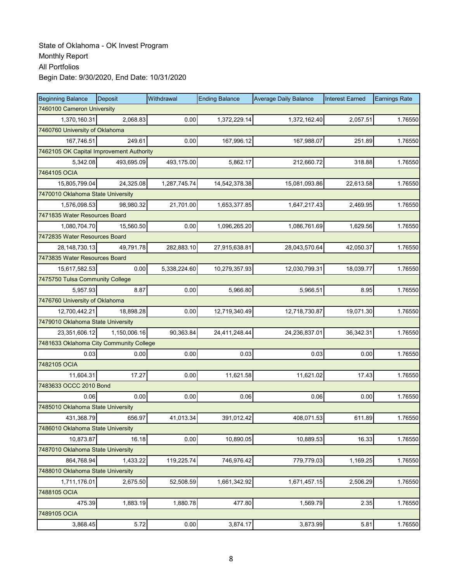| <b>Beginning Balance</b>                 | <b>Deposit</b>             | Withdrawal   | <b>Ending Balance</b> | <b>Average Daily Balance</b> | <b>Interest Earned</b> | <b>Earnings Rate</b> |  |  |  |
|------------------------------------------|----------------------------|--------------|-----------------------|------------------------------|------------------------|----------------------|--|--|--|
|                                          | 7460100 Cameron University |              |                       |                              |                        |                      |  |  |  |
| 1,370,160.31                             | 2,068.83                   | 0.00         | 1,372,229.14          | 1,372,162.40                 | 2,057.51               | 1.76550              |  |  |  |
| 7460760 University of Oklahoma           |                            |              |                       |                              |                        |                      |  |  |  |
| 167,746.51                               | 249.61                     | 0.00         | 167,996.12            | 167,988.07                   | 251.89                 | 1.76550              |  |  |  |
| 7462105 OK Capital Improvement Authority |                            |              |                       |                              |                        |                      |  |  |  |
| 5,342.08                                 | 493,695.09                 | 493,175.00   | 5,862.17              | 212,660.72                   | 318.88                 | 1.76550              |  |  |  |
| 7464105 OCIA                             |                            |              |                       |                              |                        |                      |  |  |  |
| 15,805,799.04                            | 24,325.08                  | 1,287,745.74 | 14,542,378.38         | 15,081,093.86                | 22,613.58              | 1.76550              |  |  |  |
| 7470010 Oklahoma State University        |                            |              |                       |                              |                        |                      |  |  |  |
| 1,576,098.53                             | 98,980.32                  | 21,701.00    | 1,653,377.85          | 1,647,217.43                 | 2,469.95               | 1.76550              |  |  |  |
| 7471835 Water Resources Board            |                            |              |                       |                              |                        |                      |  |  |  |
| 1,080,704.70                             | 15,560.50                  | 0.00         | 1,096,265.20          | 1,086,761.69                 | 1,629.56               | 1.76550              |  |  |  |
| 7472835 Water Resources Board            |                            |              |                       |                              |                        |                      |  |  |  |
| 28, 148, 730. 13                         | 49,791.78                  | 282,883.10   | 27,915,638.81         | 28,043,570.64                | 42,050.37              | 1.76550              |  |  |  |
| 7473835 Water Resources Board            |                            |              |                       |                              |                        |                      |  |  |  |
| 15,617,582.53                            | 0.00                       | 5,338,224.60 | 10,279,357.93         | 12,030,799.31                | 18,039.77              | 1.76550              |  |  |  |
| 7475750 Tulsa Community College          |                            |              |                       |                              |                        |                      |  |  |  |
| 5,957.93                                 | 8.87                       | 0.00         | 5,966.80              | 5,966.51                     | 8.95                   | 1.76550              |  |  |  |
| 7476760 University of Oklahoma           |                            |              |                       |                              |                        |                      |  |  |  |
| 12,700,442.21                            | 18,898.28                  | 0.00         | 12,719,340.49         | 12,718,730.87                | 19,071.30              | 1.76550              |  |  |  |
| 7479010 Oklahoma State University        |                            |              |                       |                              |                        |                      |  |  |  |
| 23,351,606.12                            | 1,150,006.16               | 90,363.84    | 24,411,248.44         | 24,236,837.01                | 36,342.31              | 1.76550              |  |  |  |
| 7481633 Oklahoma City Community College  |                            |              |                       |                              |                        |                      |  |  |  |
| 0.03                                     | 0.00                       | 0.00         | 0.03                  | 0.03                         | 0.00                   | 1.76550              |  |  |  |
| 7482105 OCIA                             |                            |              |                       |                              |                        |                      |  |  |  |
| 11,604.31                                | 17.27                      | 0.00         | 11,621.58             | 11,621.02                    | 17.43                  | 1.76550              |  |  |  |
| 7483633 OCCC 2010 Bond                   |                            |              |                       |                              |                        |                      |  |  |  |
| 0.06                                     | 0.00                       | 0.00         | 0.06                  | 0.06                         | 0.00                   | 1.76550              |  |  |  |
| 7485010 Oklahoma State University        |                            |              |                       |                              |                        |                      |  |  |  |
| 431,368.79                               | 656.97                     | 41,013.34    | 391,012.42            | 408,071.53                   | 611.89                 | 1.76550              |  |  |  |
| 7486010 Oklahoma State University        |                            |              |                       |                              |                        |                      |  |  |  |
| 10,873.87                                | 16.18                      | 0.00         | 10,890.05             | 10,889.53                    | 16.33                  | 1.76550              |  |  |  |
| 7487010 Oklahoma State University        |                            |              |                       |                              |                        |                      |  |  |  |
| 864,768.94                               | 1,433.22                   | 119,225.74   | 746,976.42            | 779,779.03                   | 1,169.25               | 1.76550              |  |  |  |
| 7488010 Oklahoma State University        |                            |              |                       |                              |                        |                      |  |  |  |
| 1,711,176.01                             | 2,675.50                   | 52,508.59    | 1,661,342.92          | 1,671,457.15                 | 2,506.29               | 1.76550              |  |  |  |
| 7488105 OCIA                             |                            |              |                       |                              |                        |                      |  |  |  |
| 475.39                                   | 1,883.19                   | 1,880.78     | 477.80                | 1,569.79                     | 2.35                   | 1.76550              |  |  |  |
| 7489105 OCIA                             |                            |              |                       |                              |                        |                      |  |  |  |
| 3,868.45                                 | 5.72                       | 0.00         | 3,874.17              | 3,873.99                     | 5.81                   | 1.76550              |  |  |  |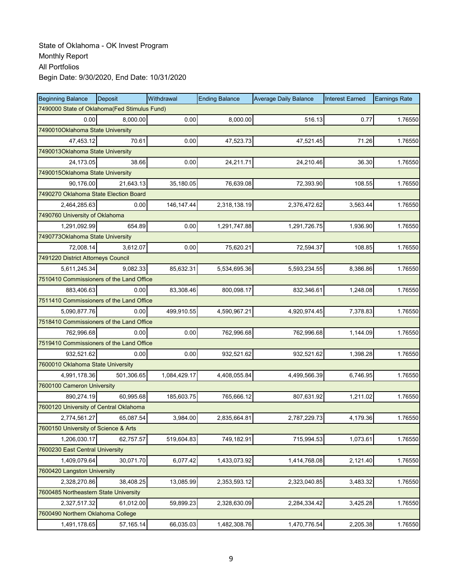| <b>Beginning Balance</b>                     | Deposit                          | Withdrawal   | <b>Ending Balance</b> | <b>Average Daily Balance</b> | <b>Interest Earned</b> | <b>Earnings Rate</b> |  |  |  |  |
|----------------------------------------------|----------------------------------|--------------|-----------------------|------------------------------|------------------------|----------------------|--|--|--|--|
| 7490000 State of Oklahoma(Fed Stimulus Fund) |                                  |              |                       |                              |                        |                      |  |  |  |  |
| 0.00                                         | 8,000.00                         | 0.00         | 8,000.00              | 516.13                       | 0.77                   | 1.76550              |  |  |  |  |
| 7490010Oklahoma State University             |                                  |              |                       |                              |                        |                      |  |  |  |  |
| 47,453.12                                    | 70.61                            | 0.00         | 47,523.73             | 47,521.45                    | 71.26                  | 1.76550              |  |  |  |  |
|                                              | 7490013Oklahoma State University |              |                       |                              |                        |                      |  |  |  |  |
| 24,173.05                                    | 38.66                            | 0.00         | 24,211.71             | 24,210.46                    | 36.30                  | 1.76550              |  |  |  |  |
| 7490015Oklahoma State University             |                                  |              |                       |                              |                        |                      |  |  |  |  |
| 90,176.00                                    | 21,643.13                        | 35,180.05    | 76,639.08             | 72,393.90                    | 108.55                 | 1.76550              |  |  |  |  |
| 7490270 Oklahoma State Election Board        |                                  |              |                       |                              |                        |                      |  |  |  |  |
| 2,464,285.63                                 | 0.00                             | 146, 147.44  | 2,318,138.19          | 2,376,472.62                 | 3,563.44               | 1.76550              |  |  |  |  |
| 7490760 University of Oklahoma               |                                  |              |                       |                              |                        |                      |  |  |  |  |
| 1,291,092.99                                 | 654.89                           | 0.00         | 1,291,747.88          | 1,291,726.75                 | 1,936.90               | 1.76550              |  |  |  |  |
| 7490773Oklahoma State University             |                                  |              |                       |                              |                        |                      |  |  |  |  |
| 72,008.14                                    | 3,612.07                         | 0.00         | 75,620.21             | 72,594.37                    | 108.85                 | 1.76550              |  |  |  |  |
| 7491220 District Attorneys Council           |                                  |              |                       |                              |                        |                      |  |  |  |  |
| 5,611,245.34                                 | 9,082.33                         | 85,632.31    | 5,534,695.36          | 5,593,234.55                 | 8,386.86               | 1.76550              |  |  |  |  |
| 7510410 Commissioners of the Land Office     |                                  |              |                       |                              |                        |                      |  |  |  |  |
| 883,406.63                                   | 0.00                             | 83,308.46    | 800,098.17            | 832,346.61                   | 1,248.08               | 1.76550              |  |  |  |  |
| 7511410 Commissioners of the Land Office     |                                  |              |                       |                              |                        |                      |  |  |  |  |
| 5,090,877.76                                 | 0.00                             | 499,910.55   | 4,590,967.21          | 4,920,974.45                 | 7,378.83               | 1.76550              |  |  |  |  |
| 7518410 Commissioners of the Land Office     |                                  |              |                       |                              |                        |                      |  |  |  |  |
| 762,996.68                                   | 0.00                             | 0.00         | 762,996.68            | 762,996.68                   | 1,144.09               | 1.76550              |  |  |  |  |
| 7519410 Commissioners of the Land Office     |                                  |              |                       |                              |                        |                      |  |  |  |  |
| 932,521.62                                   | 0.00                             | 0.00         | 932,521.62            | 932,521.62                   | 1,398.28               | 1.76550              |  |  |  |  |
| 7600010 Oklahoma State University            |                                  |              |                       |                              |                        |                      |  |  |  |  |
| 4,991,178.36                                 | 501,306.65                       | 1,084,429.17 | 4,408,055.84          | 4,499,566.39                 | 6,746.95               | 1.76550              |  |  |  |  |
| 7600100 Cameron University                   |                                  |              |                       |                              |                        |                      |  |  |  |  |
| 890,274.19                                   | 60,995.68                        | 185,603.75   | 765,666.12            | 807,631.92                   | 1,211.02               | 1.76550              |  |  |  |  |
| 7600120 University of Central Oklahoma       |                                  |              |                       |                              |                        |                      |  |  |  |  |
| 2,774,561.27                                 | 65,087.54                        | 3,984.00     | 2,835,664.81          | 2,787,229.73                 | 4,179.36               | 1.76550              |  |  |  |  |
| 7600150 University of Science & Arts         |                                  |              |                       |                              |                        |                      |  |  |  |  |
| 1,206,030.17                                 | 62,757.57                        | 519,604.83   | 749,182.91            | 715,994.53                   | 1,073.61               | 1.76550              |  |  |  |  |
| 7600230 East Central University              |                                  |              |                       |                              |                        |                      |  |  |  |  |
| 1,409,079.64                                 | 30,071.70                        | 6,077.42     | 1,433,073.92          | 1,414,768.08                 | 2,121.40               | 1.76550              |  |  |  |  |
| 7600420 Langston University                  |                                  |              |                       |                              |                        |                      |  |  |  |  |
| 2,328,270.86                                 | 38,408.25                        | 13,085.99    | 2,353,593.12          | 2,323,040.85                 | 3,483.32               | 1.76550              |  |  |  |  |
| 7600485 Northeastern State University        |                                  |              |                       |                              |                        |                      |  |  |  |  |
| 2,327,517.32                                 | 61,012.00                        | 59,899.23    | 2,328,630.09          | 2,284,334.42                 | 3,425.28               | 1.76550              |  |  |  |  |
| 7600490 Northern Oklahoma College            |                                  |              |                       |                              |                        |                      |  |  |  |  |
| 1,491,178.65                                 | 57, 165.14                       | 66,035.03    | 1,482,308.76          | 1,470,776.54                 | 2,205.38               | 1.76550              |  |  |  |  |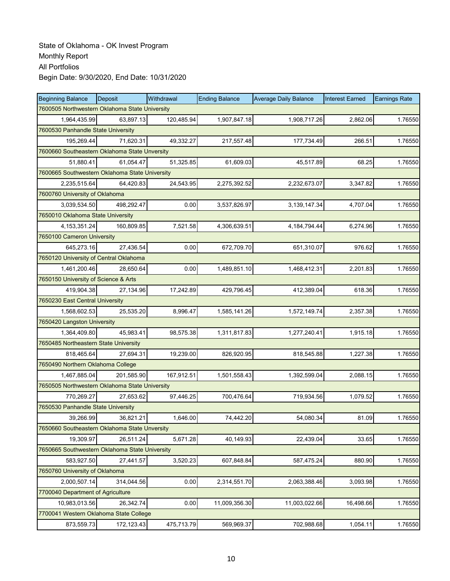| <b>Beginning Balance</b>                       | Deposit                                       | Withdrawal | <b>Ending Balance</b> | <b>Average Daily Balance</b> | <b>Interest Earned</b> | <b>Earnings Rate</b> |  |  |  |  |
|------------------------------------------------|-----------------------------------------------|------------|-----------------------|------------------------------|------------------------|----------------------|--|--|--|--|
| 7600505 Northwestern Oklahoma State University |                                               |            |                       |                              |                        |                      |  |  |  |  |
| 1,964,435.99                                   | 63,897.13                                     | 120,485.94 | 1,907,847.18          | 1,908,717.26                 | 2,862.06               | 1.76550              |  |  |  |  |
|                                                | 7600530 Panhandle State University            |            |                       |                              |                        |                      |  |  |  |  |
| 195,269.44                                     | 71,620.31                                     | 49,332.27  | 217,557.48            | 177,734.49                   | 266.51                 | 1.76550              |  |  |  |  |
|                                                | 7600660 Southeastern Oklahoma State Unversity |            |                       |                              |                        |                      |  |  |  |  |
| 51,880.41                                      | 61,054.47                                     | 51,325.85  | 61,609.03             | 45,517.89                    | 68.25                  | 1.76550              |  |  |  |  |
| 7600665 Southwestern Oklahoma State University |                                               |            |                       |                              |                        |                      |  |  |  |  |
| 2,235,515.64                                   | 64,420.83                                     | 24,543.95  | 2,275,392.52          | 2,232,673.07                 | 3,347.82               | 1.76550              |  |  |  |  |
| 7600760 University of Oklahoma                 |                                               |            |                       |                              |                        |                      |  |  |  |  |
| 3,039,534.50                                   | 498,292.47                                    | 0.00       | 3,537,826.97          | 3, 139, 147.34               | 4,707.04               | 1.76550              |  |  |  |  |
| 7650010 Oklahoma State University              |                                               |            |                       |                              |                        |                      |  |  |  |  |
| 4, 153, 351. 24                                | 160,809.85                                    | 7,521.58   | 4,306,639.51          | 4, 184, 794. 44              | 6,274.96               | 1.76550              |  |  |  |  |
| 7650100 Cameron University                     |                                               |            |                       |                              |                        |                      |  |  |  |  |
| 645,273.16                                     | 27,436.54                                     | 0.00       | 672,709.70            | 651,310.07                   | 976.62                 | 1.76550              |  |  |  |  |
| 7650120 University of Central Oklahoma         |                                               |            |                       |                              |                        |                      |  |  |  |  |
| 1,461,200.46                                   | 28,650.64                                     | 0.00       | 1,489,851.10          | 1,468,412.31                 | 2,201.83               | 1.76550              |  |  |  |  |
| 7650150 University of Science & Arts           |                                               |            |                       |                              |                        |                      |  |  |  |  |
| 419,904.38                                     | 27,134.96                                     | 17,242.89  | 429,796.45            | 412,389.04                   | 618.36                 | 1.76550              |  |  |  |  |
| 7650230 East Central University                |                                               |            |                       |                              |                        |                      |  |  |  |  |
| 1,568,602.53                                   | 25,535.20                                     | 8,996.47   | 1,585,141.26          | 1,572,149.74                 | 2,357.38               | 1.76550              |  |  |  |  |
| 7650420 Langston University                    |                                               |            |                       |                              |                        |                      |  |  |  |  |
| 1,364,409.80                                   | 45,983.41                                     | 98,575.38  | 1,311,817.83          | 1,277,240.41                 | 1,915.18               | 1.76550              |  |  |  |  |
| 7650485 Northeastern State University          |                                               |            |                       |                              |                        |                      |  |  |  |  |
| 818,465.64                                     | 27,694.31                                     | 19,239.00  | 826,920.95            | 818,545.88                   | 1,227.38               | 1.76550              |  |  |  |  |
| 7650490 Northern Oklahoma College              |                                               |            |                       |                              |                        |                      |  |  |  |  |
| 1,467,885.04                                   | 201,585.90                                    | 167,912.51 | 1,501,558.43          | 1,392,599.04                 | 2,088.15               | 1.76550              |  |  |  |  |
| 7650505 Northwestern Oklahoma State University |                                               |            |                       |                              |                        |                      |  |  |  |  |
| 770,269.27                                     | 27,653.62                                     | 97,446.25  | 700,476.64            | 719,934.56                   | 1,079.52               | 1.76550              |  |  |  |  |
| 7650530 Panhandle State University             |                                               |            |                       |                              |                        |                      |  |  |  |  |
| 39,266.99                                      | 36,821.21                                     | 1,646.00   | 74,442.20             | 54,080.34                    | 81.09                  | 1.76550              |  |  |  |  |
| 7650660 Southeastern Oklahoma State Unversity  |                                               |            |                       |                              |                        |                      |  |  |  |  |
| 19,309.97                                      | 26,511.24                                     | 5,671.28   | 40,149.93             | 22,439.04                    | 33.65                  | 1.76550              |  |  |  |  |
| 7650665 Southwestern Oklahoma State University |                                               |            |                       |                              |                        |                      |  |  |  |  |
| 583,927.50                                     | 27,441.57                                     | 3,520.23   | 607,848.84            | 587,475.24                   | 880.90                 | 1.76550              |  |  |  |  |
| 7650760 University of Oklahoma                 |                                               |            |                       |                              |                        |                      |  |  |  |  |
| 2,000,507.14                                   | 314,044.56                                    | 0.00       | 2,314,551.70          | 2,063,388.46                 | 3,093.98               | 1.76550              |  |  |  |  |
| 7700040 Department of Agriculture              |                                               |            |                       |                              |                        |                      |  |  |  |  |
| 10,983,013.56                                  | 26,342.74                                     | 0.00       | 11,009,356.30         | 11,003,022.66                | 16,498.66              | 1.76550              |  |  |  |  |
| 7700041 Western Oklahoma State College         |                                               |            |                       |                              |                        |                      |  |  |  |  |
| 873,559.73                                     | 172, 123.43                                   | 475,713.79 | 569,969.37            | 702,988.68                   | 1,054.11               | 1.76550              |  |  |  |  |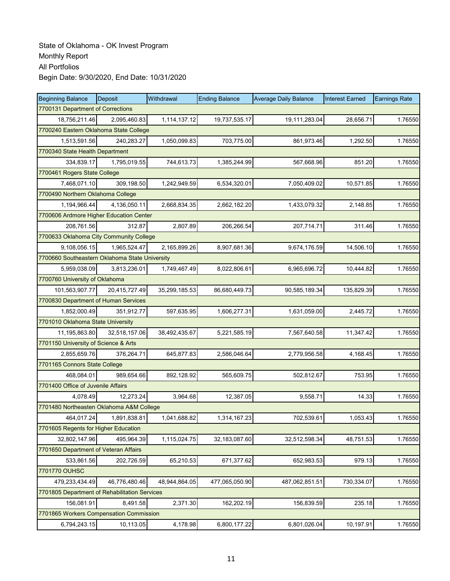| <b>Beginning Balance</b>                       | Deposit       | Withdrawal    | <b>Ending Balance</b> | <b>Average Daily Balance</b> | <b>Interest Earned</b> | <b>Earnings Rate</b> |  |  |
|------------------------------------------------|---------------|---------------|-----------------------|------------------------------|------------------------|----------------------|--|--|
| 7700131 Department of Corrections              |               |               |                       |                              |                        |                      |  |  |
| 18,756,211.46                                  | 2,095,460.83  | 1,114,137.12  | 19,737,535.17         | 19,111,283.04                | 28,656.71              | 1.76550              |  |  |
| 7700240 Eastern Oklahoma State College         |               |               |                       |                              |                        |                      |  |  |
| 1,513,591.56                                   | 240,283.27    | 1,050,099.83  | 703,775.00            | 861,973.46                   | 1,292.50               | 1.76550              |  |  |
| 7700340 State Health Department                |               |               |                       |                              |                        |                      |  |  |
| 334,839.17                                     | 1,795,019.55  | 744,613.73    | 1,385,244.99          | 567,668.96                   | 851.20                 | 1.76550              |  |  |
| 7700461 Rogers State College                   |               |               |                       |                              |                        |                      |  |  |
| 7,468,071.10                                   | 309,198.50    | 1,242,949.59  | 6,534,320.01          | 7,050,409.02                 | 10,571.85              | 1.76550              |  |  |
| 7700490 Northern Oklahoma College              |               |               |                       |                              |                        |                      |  |  |
| 1,194,966.44                                   | 4,136,050.11  | 2,668,834.35  | 2,662,182.20          | 1,433,079.32                 | 2,148.85               | 1.76550              |  |  |
| 7700606 Ardmore Higher Education Center        |               |               |                       |                              |                        |                      |  |  |
| 208,761.56                                     | 312.87        | 2,807.89      | 206,266.54            | 207,714.71                   | 311.46                 | 1.76550              |  |  |
| 7700633 Oklahoma City Community College        |               |               |                       |                              |                        |                      |  |  |
| 9.108.056.15                                   | 1.965.524.47  | 2,165,899.26  | 8,907,681.36          | 9,674,176.59                 | 14,506.10              | 1.76550              |  |  |
| 7700660 Southeastern Oklahoma State University |               |               |                       |                              |                        |                      |  |  |
| 5,959,038.09                                   | 3,813,236.01  | 1,749,467.49  | 8,022,806.61          | 6,965,696.72                 | 10,444.82              | 1.76550              |  |  |
| 7700760 University of Oklahoma                 |               |               |                       |                              |                        |                      |  |  |
| 101,563,907.77                                 | 20,415,727.49 | 35,299,185.53 | 86,680,449.73         | 90,585,189.34                | 135,829.39             | 1.76550              |  |  |
| 7700830 Department of Human Services           |               |               |                       |                              |                        |                      |  |  |
| 1,852,000.49                                   | 351,912.77    | 597,635.95    | 1,606,277.31          | 1,631,059.00                 | 2,445.72               | 1.76550              |  |  |
| 7701010 Oklahoma State University              |               |               |                       |                              |                        |                      |  |  |
| 11,195,863.80                                  | 32,518,157.06 | 38,492,435.67 | 5,221,585.19          | 7,567,640.58                 | 11,347.42              | 1.76550              |  |  |
| 7701150 University of Science & Arts           |               |               |                       |                              |                        |                      |  |  |
| 2,855,659.76                                   | 376,264.71    | 645,877.83    | 2,586,046.64          | 2,779,956.58                 | 4,168.45               | 1.76550              |  |  |
| 7701165 Connors State College                  |               |               |                       |                              |                        |                      |  |  |
| 468,084.01                                     | 989,654.66    | 892,128.92    | 565,609.75            | 502,812.67                   | 753.95                 | 1.76550              |  |  |
| 7701400 Office of Juvenile Affairs             |               |               |                       |                              |                        |                      |  |  |
| 4,078.49                                       | 12,273.24     | 3,964.68      | 12,387.05             | 9,558.71                     | 14.33                  | 1.76550              |  |  |
| 7701480 Northeasten Oklahoma A&M College       |               |               |                       |                              |                        |                      |  |  |
| 464,017.24                                     | 1,891,838.81  | 1,041,688.82  | 1,314,167.23          | 702,539.61                   | 1,053.43               | 1.76550              |  |  |
| 7701605 Regents for Higher Education           |               |               |                       |                              |                        |                      |  |  |
| 32,802,147.96                                  | 495,964.39    | 1,115,024.75  | 32,183,087.60         | 32,512,598.34                | 48,751.53              | 1.76550              |  |  |
| 7701650 Department of Veteran Affairs          |               |               |                       |                              |                        |                      |  |  |
| 533,861.56                                     | 202,726.59    | 65,210.53     | 671,377.62            | 652,983.53                   | 979.13                 | 1.76550              |  |  |
| 7701770 OUHSC                                  |               |               |                       |                              |                        |                      |  |  |
| 479,233,434.49                                 | 46,776,480.46 | 48,944,864.05 | 477,065,050.90        | 487,062,851.51               | 730,334.07             | 1.76550              |  |  |
| 7701805 Department of Rehabilitation Services  |               |               |                       |                              |                        |                      |  |  |
| 156,081.91                                     | 8,491.58      | 2,371.30      | 162,202.19            | 156,839.59                   | 235.18                 | 1.76550              |  |  |
| 7701865 Workers Compensation Commission        |               |               |                       |                              |                        |                      |  |  |
| 6,794,243.15                                   | 10,113.05     | 4,178.98      | 6,800,177.22          | 6,801,026.04                 | 10,197.91              | 1.76550              |  |  |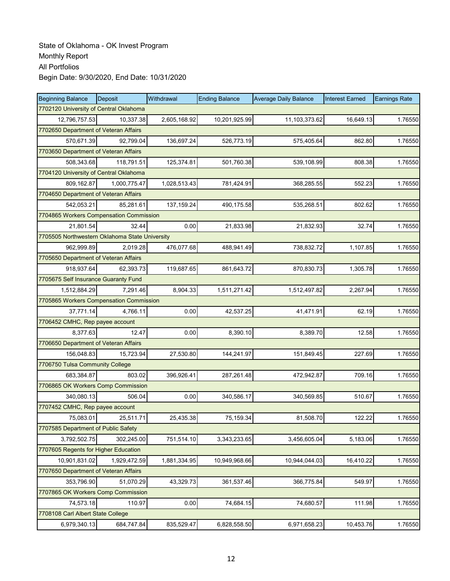| <b>Beginning Balance</b>                       | Deposit      | Withdrawal   | <b>Ending Balance</b> | <b>Average Daily Balance</b> | <b>Interest Earned</b> | <b>Earnings Rate</b> |
|------------------------------------------------|--------------|--------------|-----------------------|------------------------------|------------------------|----------------------|
| 7702120 University of Central Oklahoma         |              |              |                       |                              |                        |                      |
| 12,796,757.53                                  | 10,337.38    | 2,605,168.92 | 10,201,925.99         | 11,103,373.62                | 16,649.13              | 1.76550              |
| 7702650 Department of Veteran Affairs          |              |              |                       |                              |                        |                      |
| 570,671.39                                     | 92,799.04    | 136,697.24   | 526,773.19            | 575,405.64                   | 862.80                 | 1.76550              |
| 7703650 Department of Veteran Affairs          |              |              |                       |                              |                        |                      |
| 508,343.68                                     | 118,791.51   | 125,374.81   | 501,760.38            | 539,108.99                   | 808.38                 | 1.76550              |
| 7704120 University of Central Oklahoma         |              |              |                       |                              |                        |                      |
| 809,162.87                                     | 1,000,775.47 | 1,028,513.43 | 781,424.91            | 368,285.55                   | 552.23                 | 1.76550              |
| 7704650 Department of Veteran Affairs          |              |              |                       |                              |                        |                      |
| 542,053.21                                     | 85,281.61    | 137, 159.24  | 490,175.58            | 535,268.51                   | 802.62                 | 1.76550              |
| 7704865 Workers Compensation Commission        |              |              |                       |                              |                        |                      |
| 21,801.54                                      | 32.44        | 0.00         | 21,833.98             | 21,832.93                    | 32.74                  | 1.76550              |
| 7705505 Northwestern Oklahoma State University |              |              |                       |                              |                        |                      |
| 962.999.89                                     | 2,019.28     | 476,077.68   | 488,941.49            | 738,832.72                   | 1,107.85               | 1.76550              |
| 7705650 Department of Veteran Affairs          |              |              |                       |                              |                        |                      |
| 918,937.64                                     | 62,393.73    | 119,687.65   | 861,643.72            | 870,830.73                   | 1,305.78               | 1.76550              |
| 7705675 Self Insurance Guaranty Fund           |              |              |                       |                              |                        |                      |
| 1,512,884.29                                   | 7,291.46     | 8,904.33     | 1,511,271.42          | 1,512,497.82                 | 2,267.94               | 1.76550              |
| 7705865 Workers Compensation Commission        |              |              |                       |                              |                        |                      |
| 37,771.14                                      | 4,766.11     | 0.00         | 42,537.25             | 41,471.91                    | 62.19                  | 1.76550              |
| 7706452 CMHC, Rep payee account                |              |              |                       |                              |                        |                      |
| 8,377.63                                       | 12.47        | 0.00         | 8,390.10              | 8,389.70                     | 12.58                  | 1.76550              |
| 7706650 Department of Veteran Affairs          |              |              |                       |                              |                        |                      |
| 156,048.83                                     | 15,723.94    | 27,530.80    | 144,241.97            | 151,849.45                   | 227.69                 | 1.76550              |
| 7706750 Tulsa Community College                |              |              |                       |                              |                        |                      |
| 683,384.87                                     | 803.02       | 396,926.41   | 287,261.48            | 472,942.87                   | 709.16                 | 1.76550              |
| 7706865 OK Workers Comp Commission             |              |              |                       |                              |                        |                      |
| 340,080.13                                     | 506.04       | 0.00         | 340,586.17            | 340,569.85                   | 510.67                 | 1.76550              |
| 7707452 CMHC, Rep payee account                |              |              |                       |                              |                        |                      |
| 75,083.01                                      | 25,511.71    | 25,435.38    | 75,159.34             | 81,508.70                    | 122.22                 | 1.76550              |
| 7707585 Department of Public Safety            |              |              |                       |                              |                        |                      |
| 3,792,502.75                                   | 302,245.00   | 751,514.10   | 3,343,233.65          | 3,456,605.04                 | 5,183.06               | 1.76550              |
| 7707605 Regents for Higher Education           |              |              |                       |                              |                        |                      |
| 10,901,831.02                                  | 1,929,472.59 | 1,881,334.95 | 10,949,968.66         | 10,944,044.03                | 16,410.22              | 1.76550              |
| 7707650 Department of Veteran Affairs          |              |              |                       |                              |                        |                      |
| 353,796.90                                     | 51,070.29    | 43,329.73    | 361,537.46            | 366,775.84                   | 549.97                 | 1.76550              |
| 7707865 OK Workers Comp Commission             |              |              |                       |                              |                        |                      |
| 74,573.18                                      | 110.97       | 0.00         | 74,684.15             | 74,680.57                    | 111.98                 | 1.76550              |
| 7708108 Carl Albert State College              |              |              |                       |                              |                        |                      |
| 6,979,340.13                                   | 684,747.84   | 835,529.47   | 6,828,558.50          | 6,971,658.23                 | 10,453.76              | 1.76550              |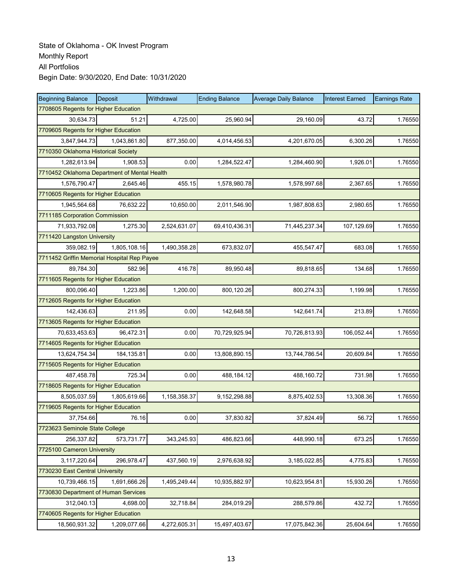| <b>Beginning Balance</b>                     | Deposit      | Withdrawal   | <b>Ending Balance</b> | <b>Average Daily Balance</b> | <b>Interest Earned</b> | <b>Earnings Rate</b> |  |  |
|----------------------------------------------|--------------|--------------|-----------------------|------------------------------|------------------------|----------------------|--|--|
| 7708605 Regents for Higher Education         |              |              |                       |                              |                        |                      |  |  |
| 30.634.73                                    | 51.21        | 4,725.00     | 25,960.94             | 29,160.09                    | 43.72                  | 1.76550              |  |  |
| 7709605 Regents for Higher Education         |              |              |                       |                              |                        |                      |  |  |
| 3,847,944.73                                 | 1,043,861.80 | 877,350.00   | 4,014,456.53          | 4,201,670.05                 | 6,300.26               | 1.76550              |  |  |
| 7710350 Oklahoma Historical Society          |              |              |                       |                              |                        |                      |  |  |
| 1,282,613.94                                 | 1,908.53     | 0.00         | 1,284,522.47          | 1,284,460.90                 | 1,926.01               | 1.76550              |  |  |
| 7710452 Oklahoma Department of Mental Health |              |              |                       |                              |                        |                      |  |  |
| 1,576,790.47                                 | 2,645.46     | 455.15       | 1,578,980.78          | 1,578,997.68                 | 2,367.65               | 1.76550              |  |  |
| 7710605 Regents for Higher Education         |              |              |                       |                              |                        |                      |  |  |
| 1,945,564.68                                 | 76,632.22    | 10,650.00    | 2,011,546.90          | 1,987,808.63                 | 2,980.65               | 1.76550              |  |  |
| 7711185 Corporation Commission               |              |              |                       |                              |                        |                      |  |  |
| 71,933,792.08                                | 1,275.30     | 2,524,631.07 | 69,410,436.31         | 71,445,237.34                | 107,129.69             | 1.76550              |  |  |
| 7711420 Langston University                  |              |              |                       |                              |                        |                      |  |  |
| 359.082.19                                   | 1,805,108.16 | 1,490,358.28 | 673,832.07            | 455,547.47                   | 683.08                 | 1.76550              |  |  |
| 7711452 Griffin Memorial Hospital Rep Payee  |              |              |                       |                              |                        |                      |  |  |
| 89,784.30                                    | 582.96       | 416.78       | 89,950.48             | 89,818.65                    | 134.68                 | 1.76550              |  |  |
| 7711605 Regents for Higher Education         |              |              |                       |                              |                        |                      |  |  |
| 800,096.40                                   | 1,223.86     | 1,200.00     | 800,120.26            | 800,274.33                   | 1,199.98               | 1.76550              |  |  |
| 7712605 Regents for Higher Education         |              |              |                       |                              |                        |                      |  |  |
| 142,436.63                                   | 211.95       | 0.00         | 142,648.58            | 142,641.74                   | 213.89                 | 1.76550              |  |  |
| 7713605 Regents for Higher Education         |              |              |                       |                              |                        |                      |  |  |
| 70,633,453.63                                | 96,472.31    | 0.00         | 70,729,925.94         | 70,726,813.93                | 106,052.44             | 1.76550              |  |  |
| 7714605 Regents for Higher Education         |              |              |                       |                              |                        |                      |  |  |
| 13,624,754.34                                | 184, 135.81  | 0.00         | 13,808,890.15         | 13,744,786.54                | 20,609.84              | 1.76550              |  |  |
| 7715605 Regents for Higher Education         |              |              |                       |                              |                        |                      |  |  |
| 487,458.78                                   | 725.34       | 0.00         | 488,184.12            | 488,160.72                   | 731.98                 | 1.76550              |  |  |
| 7718605 Regents for Higher Education         |              |              |                       |                              |                        |                      |  |  |
| 8,505,037.59                                 | 1,805,619.66 | 1,158,358.37 | 9,152,298.88          | 8,875,402.53                 | 13,308.36              | 1.76550              |  |  |
| 7719605 Regents for Higher Education         |              |              |                       |                              |                        |                      |  |  |
| 37,754.66                                    | 76.16        | 0.00         | 37,830.82             | 37,824.49                    | 56.72                  | 1.76550              |  |  |
| 7723623 Seminole State College               |              |              |                       |                              |                        |                      |  |  |
| 256,337.82                                   | 573,731.77   | 343,245.93   | 486,823.66            | 448,990.18                   | 673.25                 | 1.76550              |  |  |
| 7725100 Cameron University                   |              |              |                       |                              |                        |                      |  |  |
| 3,117,220.64                                 | 296,978.47   | 437,560.19   | 2,976,638.92          | 3,185,022.85                 | 4,775.83               | 1.76550              |  |  |
| 7730230 East Central University              |              |              |                       |                              |                        |                      |  |  |
| 10,739,466.15                                | 1,691,666.26 | 1,495,249.44 | 10,935,882.97         | 10,623,954.81                | 15,930.26              | 1.76550              |  |  |
| 7730830 Department of Human Services         |              |              |                       |                              |                        |                      |  |  |
| 312,040.13                                   | 4,698.00     | 32,718.84    | 284,019.29            | 288,579.86                   | 432.72                 | 1.76550              |  |  |
| 7740605 Regents for Higher Education         |              |              |                       |                              |                        |                      |  |  |
| 18,560,931.32                                | 1,209,077.66 | 4,272,605.31 | 15,497,403.67         | 17,075,842.36                | 25,604.64              | 1.76550              |  |  |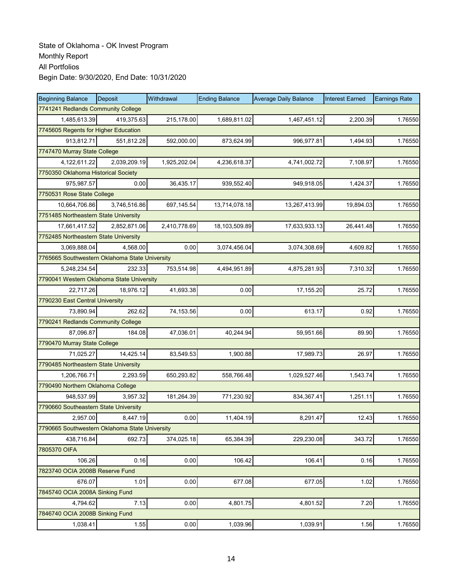| <b>Beginning Balance</b>                       | Deposit      | Withdrawal   | <b>Ending Balance</b> | <b>Average Daily Balance</b> | <b>Interest Earned</b> | <b>Earnings Rate</b> |  |  |
|------------------------------------------------|--------------|--------------|-----------------------|------------------------------|------------------------|----------------------|--|--|
| 7741241 Redlands Community College             |              |              |                       |                              |                        |                      |  |  |
| 1,485,613.39                                   | 419.375.63   | 215,178.00   | 1,689,811.02          | 1,467,451.12                 | 2,200.39               | 1.76550              |  |  |
| 7745605 Regents for Higher Education           |              |              |                       |                              |                        |                      |  |  |
| 913.812.71                                     | 551,812.28   | 592,000.00   | 873,624.99            | 996,977.81                   | 1,494.93               | 1.76550              |  |  |
| 7747470 Murray State College                   |              |              |                       |                              |                        |                      |  |  |
| 4,122,611.22                                   | 2,039,209.19 | 1,925,202.04 | 4,236,618.37          | 4,741,002.72                 | 7,108.97               | 1.76550              |  |  |
| 7750350 Oklahoma Historical Society            |              |              |                       |                              |                        |                      |  |  |
| 975,987.57                                     | 0.00         | 36,435.17    | 939,552.40            | 949,918.05                   | 1,424.37               | 1.76550              |  |  |
| 7750531 Rose State College                     |              |              |                       |                              |                        |                      |  |  |
| 10,664,706.86                                  | 3,746,516.86 | 697, 145.54  | 13,714,078.18         | 13,267,413.99                | 19,894.03              | 1.76550              |  |  |
| 7751485 Northeastern State University          |              |              |                       |                              |                        |                      |  |  |
| 17,661,417.52                                  | 2,852,871.06 | 2,410,778.69 | 18,103,509.89         | 17,633,933.13                | 26,441.48              | 1.76550              |  |  |
| 7752485 Northeastern State University          |              |              |                       |                              |                        |                      |  |  |
| 3,069,888.04                                   | 4.568.00     | 0.00         | 3,074,456.04          | 3,074,308.69                 | 4,609.82               | 1.76550              |  |  |
| 7765665 Southwestern Oklahoma State University |              |              |                       |                              |                        |                      |  |  |
| 5,248,234.54                                   | 232.33       | 753,514.98   | 4,494,951.89          | 4,875,281.93                 | 7,310.32               | 1.76550              |  |  |
| 7790041 Western Oklahoma State University      |              |              |                       |                              |                        |                      |  |  |
| 22,717.26                                      | 18,976.12    | 41,693.38    | 0.00                  | 17,155.20                    | 25.72                  | 1.76550              |  |  |
| 7790230 East Central University                |              |              |                       |                              |                        |                      |  |  |
| 73,890.94                                      | 262.62       | 74,153.56    | 0.00                  | 613.17                       | 0.92                   | 1.76550              |  |  |
| 7790241 Redlands Community College             |              |              |                       |                              |                        |                      |  |  |
| 87,096.87                                      | 184.08       | 47,036.01    | 40,244.94             | 59,951.66                    | 89.90                  | 1.76550              |  |  |
| 7790470 Murray State College                   |              |              |                       |                              |                        |                      |  |  |
| 71,025.27                                      | 14,425.14    | 83,549.53    | 1,900.88              | 17,989.73                    | 26.97                  | 1.76550              |  |  |
| 7790485 Northeastern State University          |              |              |                       |                              |                        |                      |  |  |
| 1,206,766.71                                   | 2,293.59     | 650,293.82   | 558,766.48            | 1,029,527.46                 | 1,543.74               | 1.76550              |  |  |
| 7790490 Northern Oklahoma College              |              |              |                       |                              |                        |                      |  |  |
| 948,537.99                                     | 3,957.32     | 181,264.39   | 771,230.92            | 834,367.41                   | 1,251.11               | 1.76550              |  |  |
| 7790660 Southeastern State University          |              |              |                       |                              |                        |                      |  |  |
| 2,957.00                                       | 8,447.19     | 0.00         | 11,404.19             | 8,291.47                     | 12.43                  | 1.76550              |  |  |
| 7790665 Southwestern Oklahoma State University |              |              |                       |                              |                        |                      |  |  |
| 438,716.84                                     | 692.73       | 374,025.18   | 65,384.39             | 229,230.08                   | 343.72                 | 1.76550              |  |  |
| 7805370 OIFA                                   |              |              |                       |                              |                        |                      |  |  |
| 106.26                                         | 0.16         | 0.00         | 106.42                | 106.41                       | 0.16                   | 1.76550              |  |  |
| 7823740 OCIA 2008B Reserve Fund                |              |              |                       |                              |                        |                      |  |  |
| 676.07                                         | 1.01         | 0.00         | 677.08                | 677.05                       | 1.02                   | 1.76550              |  |  |
| 7845740 OCIA 2008A Sinking Fund                |              |              |                       |                              |                        |                      |  |  |
| 4,794.62                                       | 7.13         | 0.00         | 4,801.75              | 4,801.52                     | 7.20                   | 1.76550              |  |  |
| 7846740 OCIA 2008B Sinking Fund                |              |              |                       |                              |                        |                      |  |  |
| 1,038.41                                       | 1.55         | 0.00         | 1,039.96              | 1,039.91                     | 1.56                   | 1.76550              |  |  |